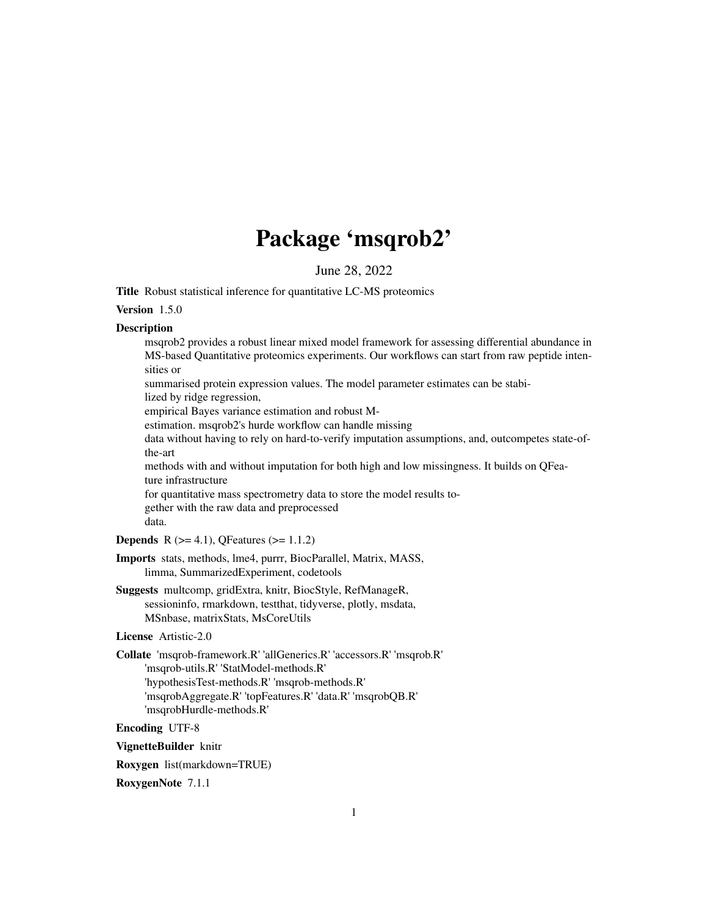## Package 'msqrob2'

June 28, 2022

Title Robust statistical inference for quantitative LC-MS proteomics

#### Version 1.5.0

#### Description

msqrob2 provides a robust linear mixed model framework for assessing differential abundance in MS-based Quantitative proteomics experiments. Our workflows can start from raw peptide intensities or summarised protein expression values. The model parameter estimates can be stabilized by ridge regression, empirical Bayes variance estimation and robust Mestimation. msqrob2's hurde workflow can handle missing data without having to rely on hard-to-verify imputation assumptions, and, outcompetes state-ofthe-art methods with and without imputation for both high and low missingness. It builds on QFeature infrastructure for quantitative mass spectrometry data to store the model results together with the raw data and preprocessed data. **Depends** R ( $>= 4.1$ ), QFeatures ( $>= 1.1.2$ ) Imports stats, methods, lme4, purrr, BiocParallel, Matrix, MASS,

limma, SummarizedExperiment, codetools

Suggests multcomp, gridExtra, knitr, BiocStyle, RefManageR, sessioninfo, rmarkdown, testthat, tidyverse, plotly, msdata, MSnbase, matrixStats, MsCoreUtils

#### License Artistic-2.0

Collate 'msqrob-framework.R' 'allGenerics.R' 'accessors.R' 'msqrob.R' 'msqrob-utils.R' 'StatModel-methods.R' 'hypothesisTest-methods.R' 'msqrob-methods.R' 'msqrobAggregate.R' 'topFeatures.R' 'data.R' 'msqrobQB.R' 'msqrobHurdle-methods.R'

Encoding UTF-8

VignetteBuilder knitr

Roxygen list(markdown=TRUE)

RoxygenNote 7.1.1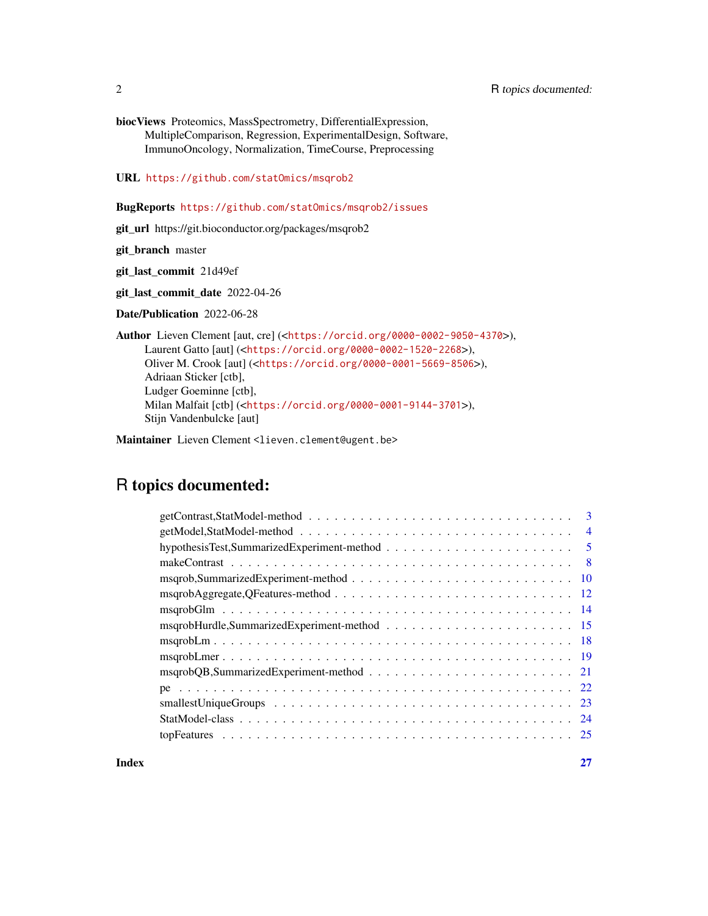biocViews Proteomics, MassSpectrometry, DifferentialExpression, MultipleComparison, Regression, ExperimentalDesign, Software, ImmunoOncology, Normalization, TimeCourse, Preprocessing

URL <https://github.com/statOmics/msqrob2>

#### BugReports <https://github.com/statOmics/msqrob2/issues>

git\_url https://git.bioconductor.org/packages/msqrob2

git\_branch master

git\_last\_commit 21d49ef

git\_last\_commit\_date 2022-04-26

Date/Publication 2022-06-28

Author Lieven Clement [aut, cre] (<<https://orcid.org/0000-0002-9050-4370>>), Laurent Gatto [aut] (<<https://orcid.org/0000-0002-1520-2268>>), Oliver M. Crook [aut] (<<https://orcid.org/0000-0001-5669-8506>>), Adriaan Sticker [ctb], Ludger Goeminne [ctb], Milan Malfait [ctb] (<<https://orcid.org/0000-0001-9144-3701>>), Stijn Vandenbulcke [aut]

Maintainer Lieven Clement <lieven.clement@ugent.be>

### R topics documented:

| $getContrast, StatModel-method \dots \dots \dots \dots \dots \dots \dots \dots \dots \dots \dots \dots \dots$ | 3              |
|---------------------------------------------------------------------------------------------------------------|----------------|
|                                                                                                               |                |
|                                                                                                               | $\overline{5}$ |
|                                                                                                               |                |
|                                                                                                               |                |
|                                                                                                               |                |
|                                                                                                               |                |
|                                                                                                               |                |
|                                                                                                               |                |
|                                                                                                               |                |
|                                                                                                               |                |
|                                                                                                               |                |
|                                                                                                               |                |
|                                                                                                               |                |
|                                                                                                               |                |
|                                                                                                               |                |

**Index** [27](#page-26-0)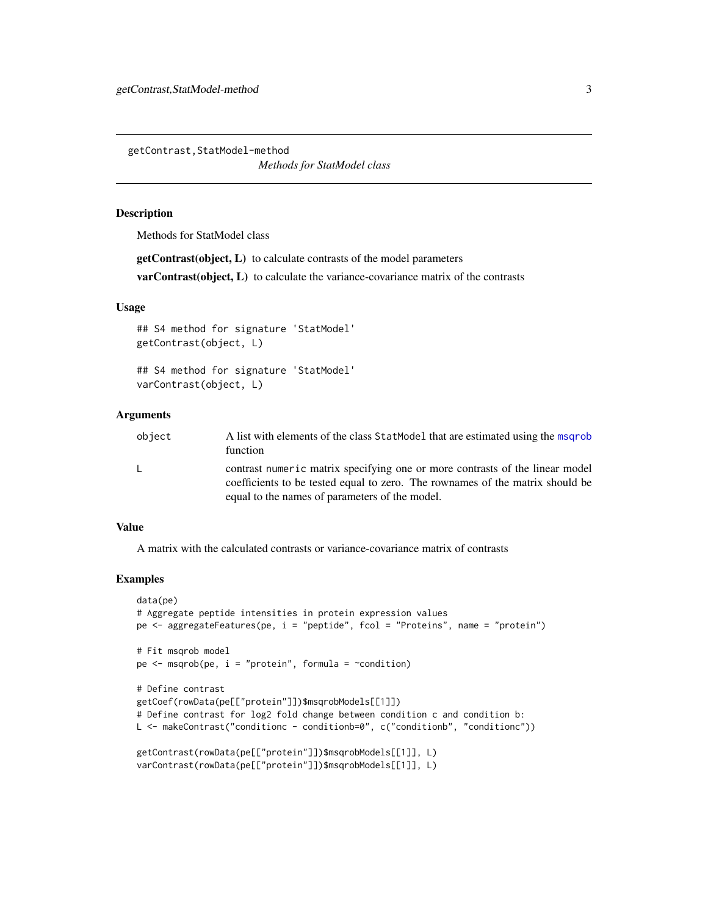<span id="page-2-0"></span>getContrast,StatModel-method

*Methods for StatModel class*

#### Description

Methods for StatModel class

getContrast(object, L) to calculate contrasts of the model parameters

var Contrast(object, L) to calculate the variance-covariance matrix of the contrasts

#### Usage

## S4 method for signature 'StatModel' getContrast(object, L)

## S4 method for signature 'StatModel' varContrast(object, L)

#### Arguments

| object | A list with elements of the class StatModel that are estimated using the msgrob<br>function                                                                                                                     |
|--------|-----------------------------------------------------------------------------------------------------------------------------------------------------------------------------------------------------------------|
|        | contrast numeric matrix specifying one or more contrasts of the linear model<br>coefficients to be tested equal to zero. The rownames of the matrix should be<br>equal to the names of parameters of the model. |

#### Value

A matrix with the calculated contrasts or variance-covariance matrix of contrasts

```
data(pe)
# Aggregate peptide intensities in protein expression values
pe <- aggregateFeatures(pe, i = "peptide", fcol = "Proteins", name = "protein")
# Fit msqrob model
pe \leq msqrob(pe, i = "protein", formula = \simcondition)
# Define contrast
getCoef(rowData(pe[["protein"]])$msqrobModels[[1]])
# Define contrast for log2 fold change between condition c and condition b:
L <- makeContrast("conditionc - conditionb=0", c("conditionb", "conditionc"))
getContrast(rowData(pe[["protein"]])$msqrobModels[[1]], L)
varContrast(rowData(pe[["protein"]])$msqrobModels[[1]], L)
```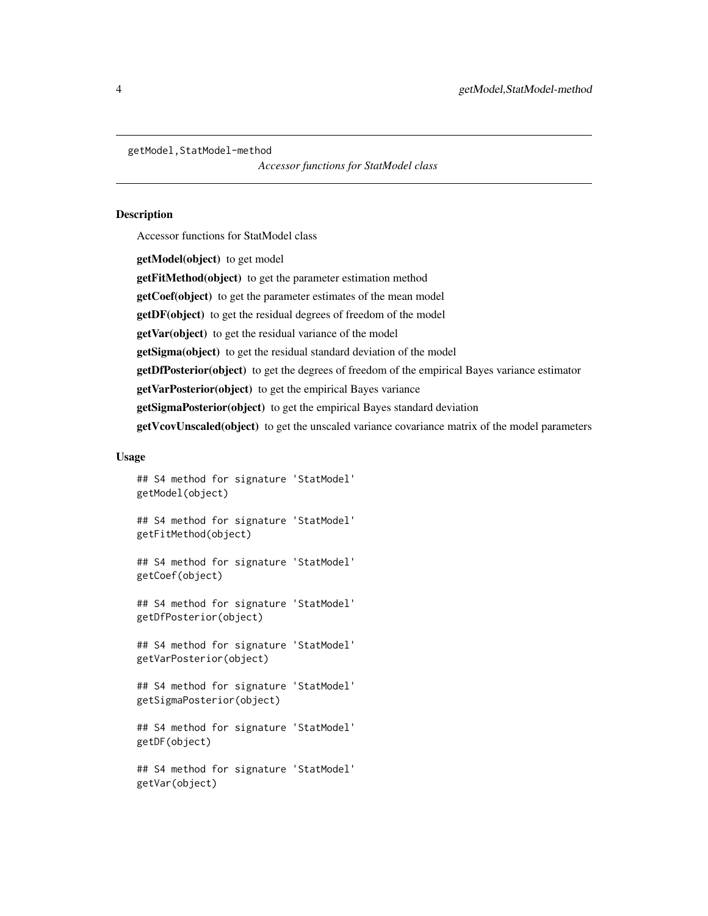<span id="page-3-0"></span>getModel,StatModel-method

*Accessor functions for StatModel class*

#### **Description**

Accessor functions for StatModel class

getModel(object) to get model getFitMethod(object) to get the parameter estimation method getCoef(object) to get the parameter estimates of the mean model getDF(object) to get the residual degrees of freedom of the model getVar(object) to get the residual variance of the model getSigma(object) to get the residual standard deviation of the model getDfPosterior(object) to get the degrees of freedom of the empirical Bayes variance estimator getVarPosterior(object) to get the empirical Bayes variance getSigmaPosterior(object) to get the empirical Bayes standard deviation getVcovUnscaled(object) to get the unscaled variance covariance matrix of the model parameters

#### Usage

```
## S4 method for signature 'StatModel'
getModel(object)
## S4 method for signature 'StatModel'
getFitMethod(object)
## S4 method for signature 'StatModel'
getCoef(object)
## S4 method for signature 'StatModel'
getDfPosterior(object)
## S4 method for signature 'StatModel'
getVarPosterior(object)
## S4 method for signature 'StatModel'
getSigmaPosterior(object)
## S4 method for signature 'StatModel'
getDF(object)
## S4 method for signature 'StatModel'
getVar(object)
```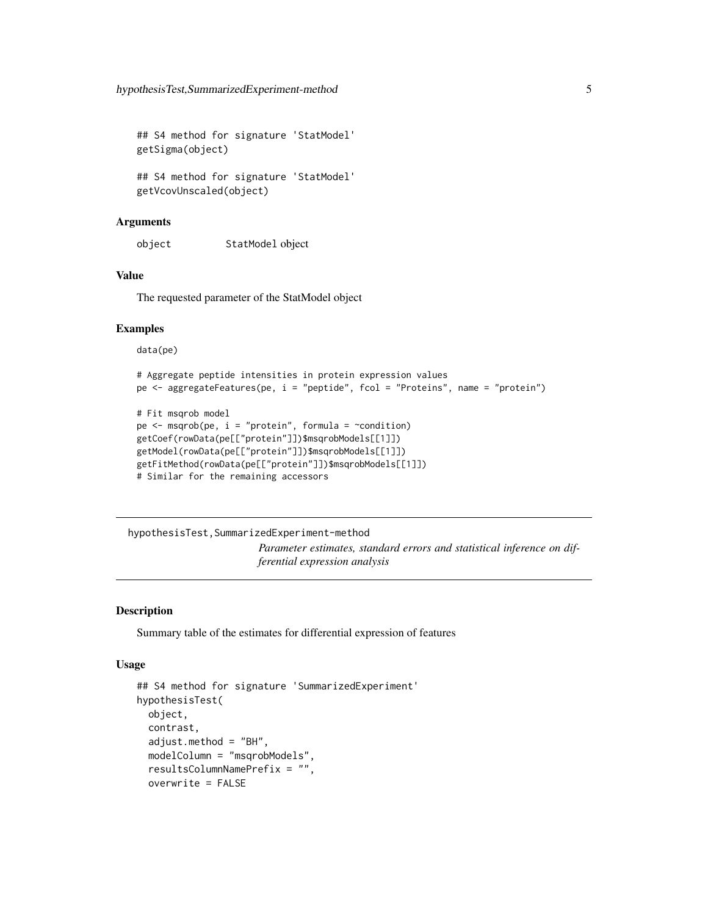<span id="page-4-0"></span>## S4 method for signature 'StatModel' getSigma(object)

## S4 method for signature 'StatModel' getVcovUnscaled(object)

#### **Arguments**

object StatModel object

#### Value

The requested parameter of the StatModel object

#### Examples

data(pe)

```
# Aggregate peptide intensities in protein expression values
pe <- aggregateFeatures(pe, i = "peptide", fcol = "Proteins", name = "protein")
# Fit msqrob model
pe \leq msqrob(pe, i = "protein", formula = \simcondition)
getCoef(rowData(pe[["protein"]])$msqrobModels[[1]])
getModel(rowData(pe[["protein"]])$msqrobModels[[1]])
getFitMethod(rowData(pe[["protein"]])$msqrobModels[[1]])
```

```
# Similar for the remaining accessors
```
hypothesisTest,SummarizedExperiment-method *Parameter estimates, standard errors and statistical inference on differential expression analysis*

#### Description

Summary table of the estimates for differential expression of features

#### Usage

```
## S4 method for signature 'SummarizedExperiment'
hypothesisTest(
 object,
  contrast,
  adjust.method = "BH",
 modelColumn = "msqrobModels",
  resultsColumnNamePrefix = "",
  overwrite = FALSE
```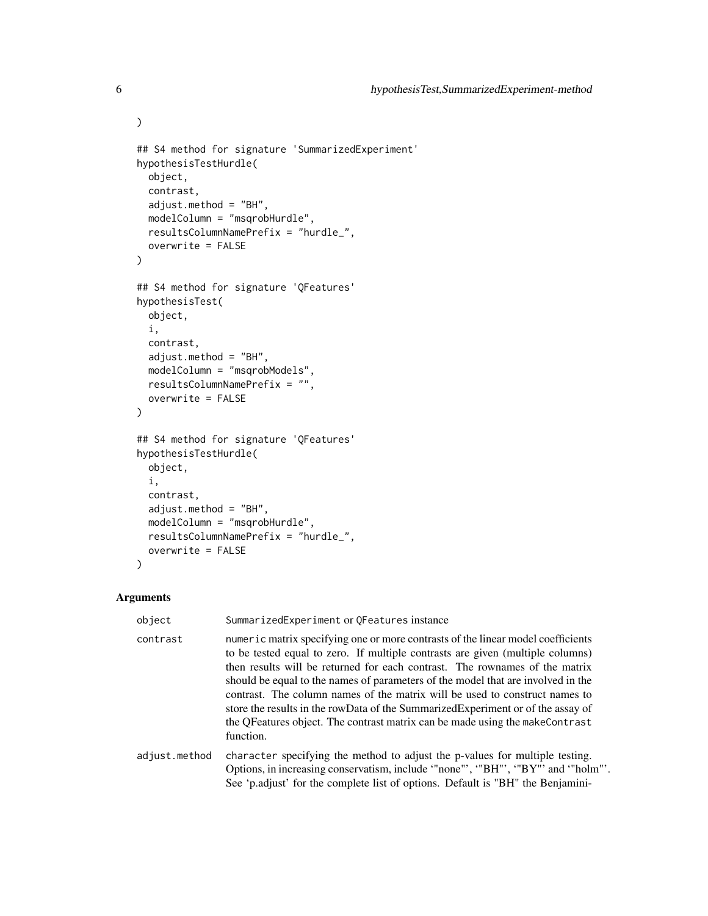```
## S4 method for signature 'SummarizedExperiment'
hypothesisTestHurdle(
 object,
 contrast,
 adjust.method = "BH",
 modelColumn = "msqrobHurdle",
  resultsColumnNamePrefix = "hurdle_",
  overwrite = FALSE
\mathcal{L}## S4 method for signature 'QFeatures'
hypothesisTest(
 object,
 i,
  contrast,
  adjust.method = "BH",modelColumn = "msqrobModels",
 resultsColumnNamePrefix = "",
 overwrite = FALSE
)
## S4 method for signature 'QFeatures'
hypothesisTestHurdle(
 object,
  i,
  contrast,
  adjust.method = "BH",
 modelColumn = "msqrobHurdle",
 resultsColumnNamePrefix = "hurdle_",
 overwrite = FALSE
\mathcal{L}
```
#### Arguments

 $\mathcal{L}$ 

| object        | SummarizedExperiment or QFeatures instance                                                                                                                                                                                                                                                                                                                                                                                                                                                                                                                                                            |
|---------------|-------------------------------------------------------------------------------------------------------------------------------------------------------------------------------------------------------------------------------------------------------------------------------------------------------------------------------------------------------------------------------------------------------------------------------------------------------------------------------------------------------------------------------------------------------------------------------------------------------|
| contrast      | numeric matrix specifying one or more contrasts of the linear model coefficients<br>to be tested equal to zero. If multiple contrasts are given (multiple columns)<br>then results will be returned for each contrast. The rownames of the matrix<br>should be equal to the names of parameters of the model that are involved in the<br>contrast. The column names of the matrix will be used to construct names to<br>store the results in the rowData of the Summarized Experiment or of the assay of<br>the QFeatures object. The contrast matrix can be made using the makeContrast<br>function. |
| adjust.method | character specifying the method to adjust the p-values for multiple testing.<br>Options, in increasing conservatism, include "none"', "BH"', "BY"' and "holm"'.<br>See 'p.adjust' for the complete list of options. Default is "BH" the Benjamini-                                                                                                                                                                                                                                                                                                                                                    |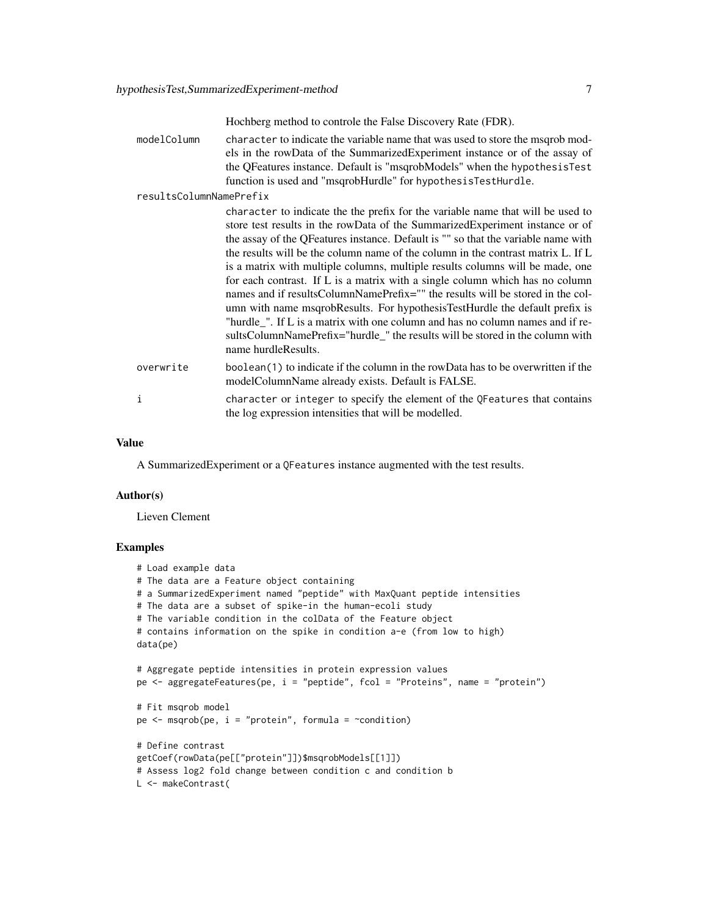Hochberg method to controle the False Discovery Rate (FDR).

modelColumn character to indicate the variable name that was used to store the msqrob models in the rowData of the SummarizedExperiment instance or of the assay of the QFeatures instance. Default is "msqrobModels" when the hypothesisTest function is used and "msqrobHurdle" for hypothesisTestHurdle.

#### resultsColumnNamePrefix

|           | character to indicate the the prefix for the variable name that will be used to<br>store test results in the rowData of the SummarizedExperiment instance or of<br>the assay of the QFeatures instance. Default is "" so that the variable name with<br>the results will be the column name of the column in the contrast matrix L. If L<br>is a matrix with multiple columns, multiple results columns will be made, one<br>for each contrast. If L is a matrix with a single column which has no column<br>names and if results ColumnNamePrefix="" the results will be stored in the col-<br>umn with name msqrobResults. For hypothesisTestHurdle the default prefix is<br>"hurdle_". If L is a matrix with one column and has no column names and if re-<br>sultsColumnNamePrefix="hurdle_" the results will be stored in the column with<br>name hurdleResults. |
|-----------|-----------------------------------------------------------------------------------------------------------------------------------------------------------------------------------------------------------------------------------------------------------------------------------------------------------------------------------------------------------------------------------------------------------------------------------------------------------------------------------------------------------------------------------------------------------------------------------------------------------------------------------------------------------------------------------------------------------------------------------------------------------------------------------------------------------------------------------------------------------------------|
| overwrite | boolean(1) to indicate if the column in the rowData has to be overwritten if the<br>modelColumnName already exists. Default is FALSE.                                                                                                                                                                                                                                                                                                                                                                                                                                                                                                                                                                                                                                                                                                                                 |
| i         | character or integer to specify the element of the QFeatures that contains                                                                                                                                                                                                                                                                                                                                                                                                                                                                                                                                                                                                                                                                                                                                                                                            |

#### Value

A SummarizedExperiment or a QFeatures instance augmented with the test results.

the log expression intensities that will be modelled.

#### Author(s)

Lieven Clement

```
# Load example data
# The data are a Feature object containing
# a SummarizedExperiment named "peptide" with MaxQuant peptide intensities
# The data are a subset of spike-in the human-ecoli study
# The variable condition in the colData of the Feature object
# contains information on the spike in condition a-e (from low to high)
data(pe)
# Aggregate peptide intensities in protein expression values
pe <- aggregateFeatures(pe, i = "peptide", fcol = "Proteins", name = "protein")
# Fit msqrob model
pe \leq msqrob(pe, i = "protein", formula = \simcondition)
# Define contrast
getCoef(rowData(pe[["protein"]])$msqrobModels[[1]])
# Assess log2 fold change between condition c and condition b
L <- makeContrast(
```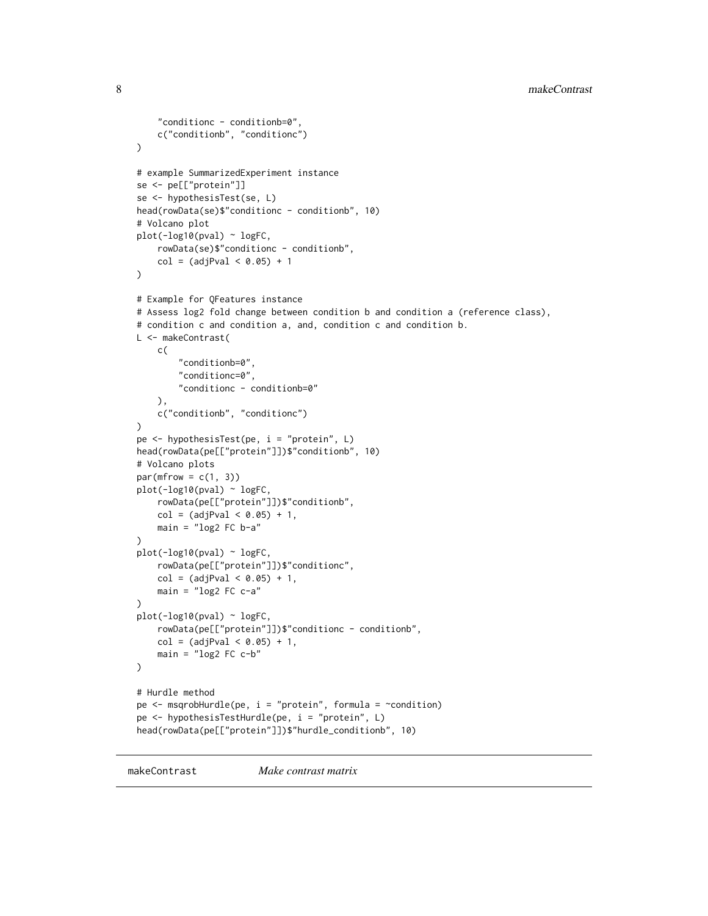```
"conditionc - conditionb=0",
    c("conditionb", "conditionc")
)
# example SummarizedExperiment instance
se <- pe[["protein"]]
se <- hypothesisTest(se, L)
head(rowData(se)$"conditionc - conditionb", 10)
# Volcano plot
plot(-log10(pval) ~ logFC,
    rowData(se)$"conditionc - conditionb",
    col = (adjPval < 0.05) + 1)
# Example for QFeatures instance
# Assess log2 fold change between condition b and condition a (reference class),
# condition c and condition a, and, condition c and condition b.
L <- makeContrast(
    c(
        "conditionb=0",
        "conditionc=0",
        "conditionc - conditionb=0"
   ),
    c("conditionb", "conditionc")
\mathcal{L}pe <- hypothesisTest(pe, i = "protein", L)
head(rowData(pe[["protein"]])$"conditionb", 10)
# Volcano plots
par(mfrow = c(1, 3))plot(-log10(pval) ~ logFC,
    rowData(pe[["protein"]])$"conditionb",
    col = (adjPval < 0.05) + 1,main = "log2 FC b-a")
plot(-log10(pval) ~ logFC,
    rowData(pe[["protein"]])$"conditionc",
    col = (adjPval < 0.05) + 1,main = "log2 FC c-a"
)
plot(-log10(pval) ~ logFC,
    rowData(pe[["protein"]])$"conditionc - conditionb",
    col = (adjPval < 0.05) + 1,main = "log2 FC c-b"
\mathcal{L}# Hurdle method
pe \leq msqrobHurdle(pe, i = "protein", formula = \simcondition)
pe <- hypothesisTestHurdle(pe, i = "protein", L)
head(rowData(pe[["protein"]])$"hurdle_conditionb", 10)
```
makeContrast *Make contrast matrix*

<span id="page-7-0"></span>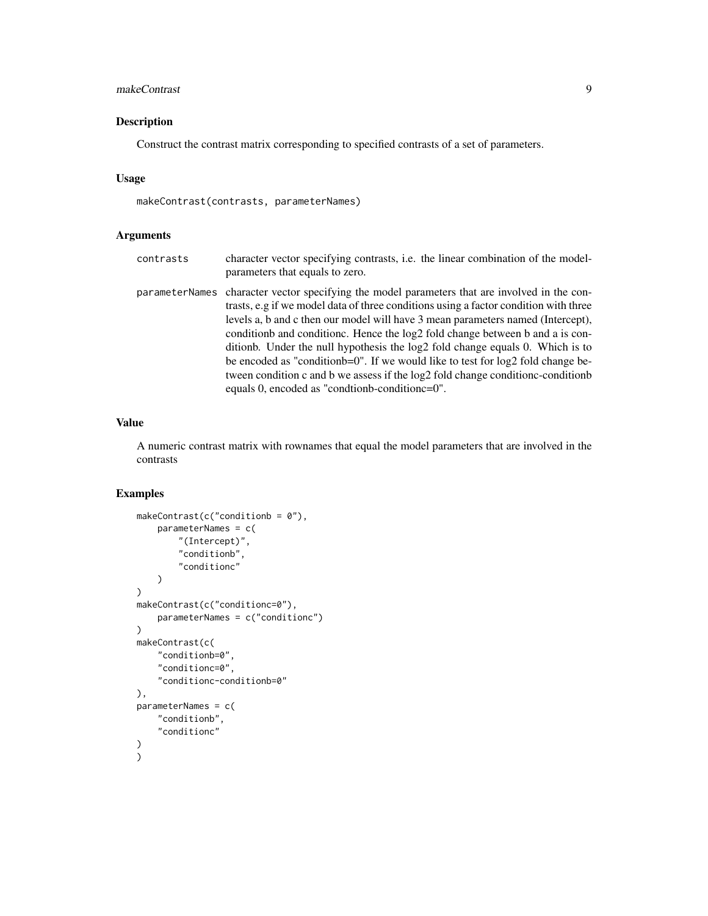#### makeContrast 9

#### Description

Construct the contrast matrix corresponding to specified contrasts of a set of parameters.

#### Usage

makeContrast(contrasts, parameterNames)

#### Arguments

| contrasts | character vector specifying contrasts, <i>i.e.</i> the linear combination of the model-<br>parameters that equals to zero.                                                                                                                                                                                                                                                                                                                                                                                                                                                                                                                                                 |
|-----------|----------------------------------------------------------------------------------------------------------------------------------------------------------------------------------------------------------------------------------------------------------------------------------------------------------------------------------------------------------------------------------------------------------------------------------------------------------------------------------------------------------------------------------------------------------------------------------------------------------------------------------------------------------------------------|
|           | parameterNames character vector specifying the model parameters that are involved in the con-<br>trasts, e.g if we model data of three conditions using a factor condition with three<br>levels a, b and c then our model will have 3 mean parameters named (Intercept),<br>condition and condition c. Hence the log2 fold change between b and a is con-<br>ditionb. Under the null hypothesis the log2 fold change equals 0. Which is to<br>be encoded as "condition $b=0$ ". If we would like to test for $log2$ fold change be-<br>tween condition c and b we assess if the log2 fold change condition-condition<br>equals 0, encoded as "condition-condition $c=0$ ". |

#### Value

A numeric contrast matrix with rownames that equal the model parameters that are involved in the contrasts

```
makeContrast(c("conditionb = 0"),
    parameterNames = c(
        "(Intercept)",
        "conditionb",
        "conditionc"
    )
\mathcal{L}makeContrast(c("conditionc=0"),
    parameterNames = c("conditionc")
)
makeContrast(c(
    "conditionb=0",
    "conditionc=0",
    "conditionc-conditionb=0"
),
parameterNames = c(
    "conditionb",
    "conditionc"
)
\mathcal{L}
```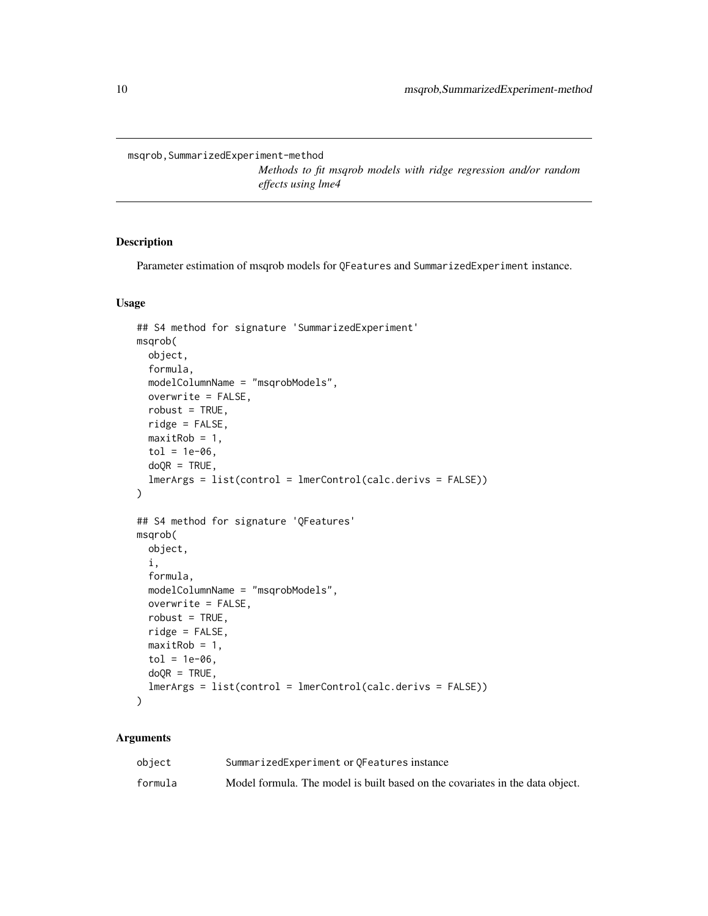<span id="page-9-0"></span>msqrob,SummarizedExperiment-method

*Methods to fit msqrob models with ridge regression and/or random effects using lme4*

#### <span id="page-9-1"></span>Description

Parameter estimation of msqrob models for QFeatures and SummarizedExperiment instance.

#### Usage

```
## S4 method for signature 'SummarizedExperiment'
msqrob(
 object,
  formula,
 modelColumnName = "msqrobModels",
 overwrite = FALSE,
  robust = TRUE,ridge = FALSE,
 maxitRob = 1,tol = 1e-06,doQR = TRUE,lmerArgs = list(control = lmerControl(calc.derivs = FALSE)))
## S4 method for signature 'QFeatures'
msqrob(
 object,
  i,
 formula,
 modelColumnName = "msqrobModels",
 overwrite = FALSE,
 robust = TRUE,
 ridge = FALSE,
 maxitRob = 1,tol = 1e-06,
 doQR = TRUE,lmerArgs = list(control = lmerControl(calc.derivs = FALSE))
)
```
#### Arguments

| object  | SummarizedExperiment or OFeatures instance                                    |
|---------|-------------------------------------------------------------------------------|
| formula | Model formula. The model is built based on the covariates in the data object. |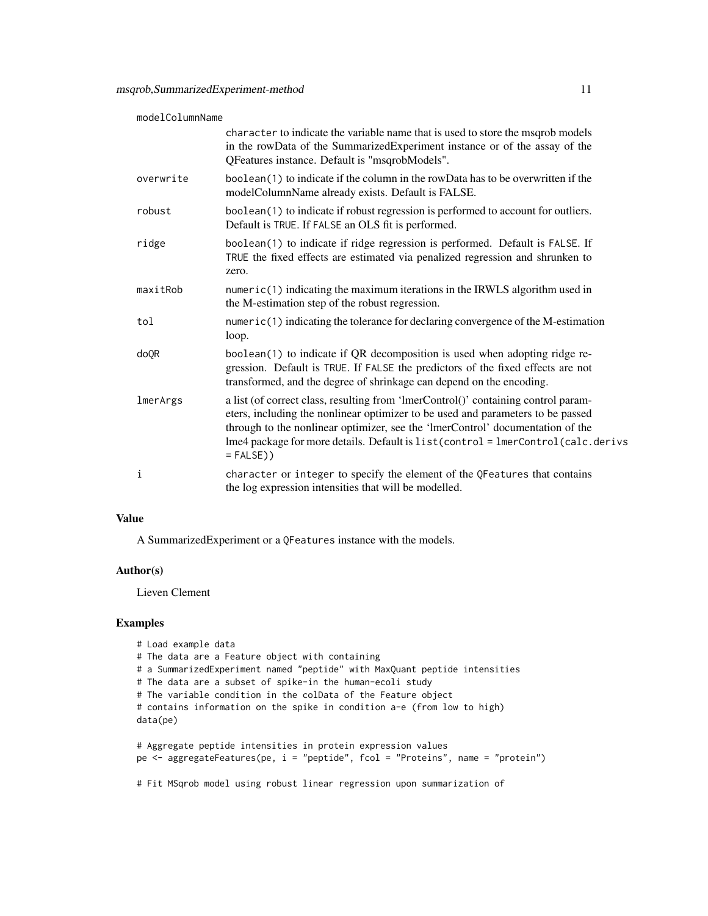| modelColumnName |                                                                                                                                                                                                                                                                                                                                                                |
|-----------------|----------------------------------------------------------------------------------------------------------------------------------------------------------------------------------------------------------------------------------------------------------------------------------------------------------------------------------------------------------------|
|                 | character to indicate the variable name that is used to store the msqrob models<br>in the rowData of the SummarizedExperiment instance or of the assay of the<br>QFeatures instance. Default is "msqrobModels".                                                                                                                                                |
| overwrite       | boolean(1) to indicate if the column in the rowData has to be overwritten if the<br>modelColumnName already exists. Default is FALSE.                                                                                                                                                                                                                          |
| robust          | boolean(1) to indicate if robust regression is performed to account for outliers.<br>Default is TRUE. If FALSE an OLS fit is performed.                                                                                                                                                                                                                        |
| ridge           | boolean(1) to indicate if ridge regression is performed. Default is FALSE. If<br>TRUE the fixed effects are estimated via penalized regression and shrunken to<br>zero.                                                                                                                                                                                        |
| maxitRob        | numeric(1) indicating the maximum iterations in the IRWLS algorithm used in<br>the M-estimation step of the robust regression.                                                                                                                                                                                                                                 |
| tol             | numeric(1) indicating the tolerance for declaring convergence of the M-estimation<br>loop.                                                                                                                                                                                                                                                                     |
| doQR            | boolean(1) to indicate if QR decomposition is used when adopting ridge re-<br>gression. Default is TRUE. If FALSE the predictors of the fixed effects are not<br>transformed, and the degree of shrinkage can depend on the encoding.                                                                                                                          |
| lmerArgs        | a list (of correct class, resulting from 'lmerControl()' containing control param-<br>eters, including the nonlinear optimizer to be used and parameters to be passed<br>through to the nonlinear optimizer, see the 'ImerControl' documentation of the<br>lme4 package for more details. Default is list(control = lmerControl(calc.derivs<br>$=$ FALSE $)$ ) |
| i               | character or integer to specify the element of the QFeatures that contains<br>the log expression intensities that will be modelled.                                                                                                                                                                                                                            |

#### Value

A SummarizedExperiment or a QFeatures instance with the models.

#### Author(s)

Lieven Clement

```
# Load example data
# The data are a Feature object with containing
# a SummarizedExperiment named "peptide" with MaxQuant peptide intensities
# The data are a subset of spike-in the human-ecoli study
# The variable condition in the colData of the Feature object
# contains information on the spike in condition a-e (from low to high)
data(pe)
# Aggregate peptide intensities in protein expression values
pe <- aggregateFeatures(pe, i = "peptide", fcol = "Proteins", name = "protein")
# Fit MSqrob model using robust linear regression upon summarization of
```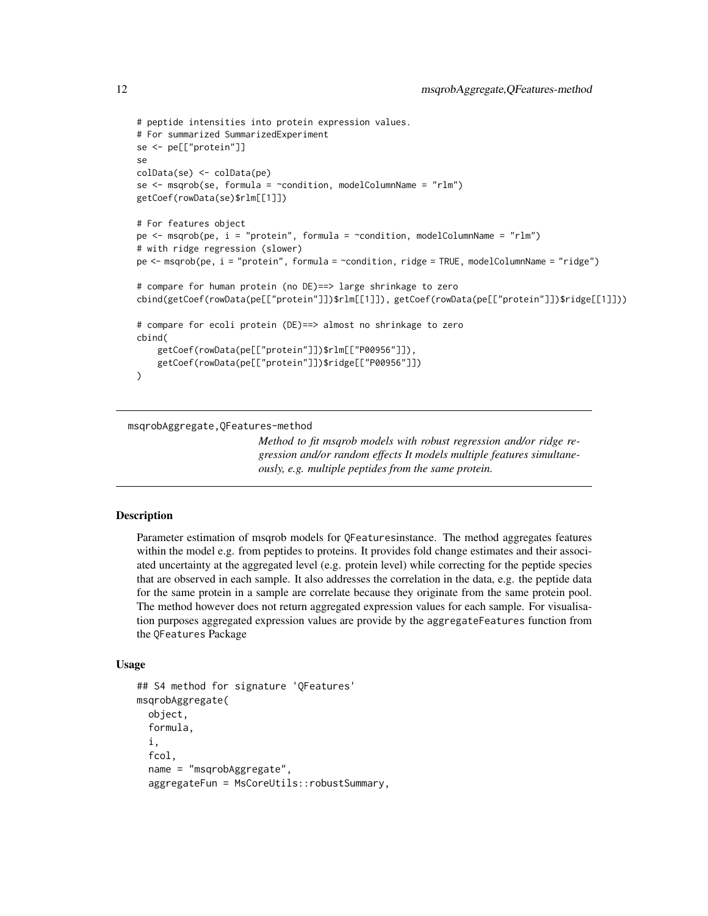```
# peptide intensities into protein expression values.
# For summarized SummarizedExperiment
se <- pe[["protein"]]
se
colData(se) <- colData(pe)
se \leq msqrob(se, formula = \simcondition, modelColumnName = "rlm")
getCoef(rowData(se)$rlm[[1]])
# For features object
pe \leq msqrob(pe, i = "protein", formula = \simcondition, modelColumnName = "rlm")
# with ridge regression (slower)
pe <- msqrob(pe, i = "protein", formula = ~condition, ridge = TRUE, modelColumnName = "ridge")
# compare for human protein (no DE)==> large shrinkage to zero
cbind(getCoef(rowData(pe[["protein"]])$rlm[[1]]), getCoef(rowData(pe[["protein"]])$ridge[[1]]))
# compare for ecoli protein (DE)==> almost no shrinkage to zero
cbind(
   getCoef(rowData(pe[["protein"]])$rlm[["P00956"]]),
    getCoef(rowData(pe[["protein"]])$ridge[["P00956"]])
)
```
msqrobAggregate,QFeatures-method

*Method to fit msqrob models with robust regression and/or ridge regression and/or random effects It models multiple features simultaneously, e.g. multiple peptides from the same protein.*

#### **Description**

Parameter estimation of msqrob models for QFeaturesinstance. The method aggregates features within the model e.g. from peptides to proteins. It provides fold change estimates and their associated uncertainty at the aggregated level (e.g. protein level) while correcting for the peptide species that are observed in each sample. It also addresses the correlation in the data, e.g. the peptide data for the same protein in a sample are correlate because they originate from the same protein pool. The method however does not return aggregated expression values for each sample. For visualisation purposes aggregated expression values are provide by the aggregateFeatures function from the QFeatures Package

#### Usage

```
## S4 method for signature 'QFeatures'
msqrobAggregate(
  object,
  formula,
  i,
  fcol,
  name = "msqrobAggregate",
  aggregateFun = MsCoreUtils::robustSummary,
```
<span id="page-11-0"></span>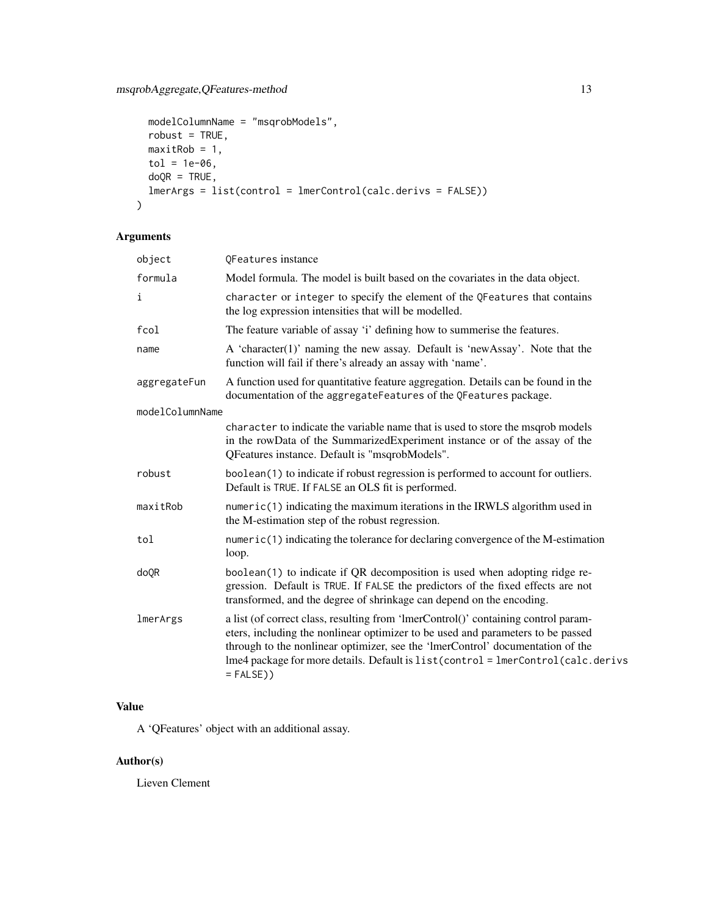```
modelColumnName = "msqrobModels",
 robust = TRUE,
 maxitRob = 1,tol = 1e-06,doQR = TRUE,lmerArgs = list(control = lmerControl(calc.derivs = FALSE))
\mathcal{L}
```
#### Arguments

| object          | QFeatures instance                                                                                                                                                                                                                                                                                                                                             |
|-----------------|----------------------------------------------------------------------------------------------------------------------------------------------------------------------------------------------------------------------------------------------------------------------------------------------------------------------------------------------------------------|
| formula         | Model formula. The model is built based on the covariates in the data object.                                                                                                                                                                                                                                                                                  |
| i               | character or integer to specify the element of the QFeatures that contains<br>the log expression intensities that will be modelled.                                                                                                                                                                                                                            |
| fcol            | The feature variable of assay 'i' defining how to summerise the features.                                                                                                                                                                                                                                                                                      |
| name            | A 'character(1)' naming the new assay. Default is 'newAssay'. Note that the<br>function will fail if there's already an assay with 'name'.                                                                                                                                                                                                                     |
| aggregateFun    | A function used for quantitative feature aggregation. Details can be found in the<br>documentation of the aggregateFeatures of the QFeatures package.                                                                                                                                                                                                          |
| modelColumnName |                                                                                                                                                                                                                                                                                                                                                                |
|                 | character to indicate the variable name that is used to store the msqrob models<br>in the rowData of the SummarizedExperiment instance or of the assay of the<br>QFeatures instance. Default is "msqrobModels".                                                                                                                                                |
| robust          | boolean(1) to indicate if robust regression is performed to account for outliers.<br>Default is TRUE. If FALSE an OLS fit is performed.                                                                                                                                                                                                                        |
| maxitRob        | $numeric(1)$ indicating the maximum iterations in the IRWLS algorithm used in<br>the M-estimation step of the robust regression.                                                                                                                                                                                                                               |
| tol             | numeric(1) indicating the tolerance for declaring convergence of the M-estimation<br>loop.                                                                                                                                                                                                                                                                     |
| doQR            | boolean(1) to indicate if QR decomposition is used when adopting ridge re-<br>gression. Default is TRUE. If FALSE the predictors of the fixed effects are not<br>transformed, and the degree of shrinkage can depend on the encoding.                                                                                                                          |
| lmerArgs        | a list (of correct class, resulting from 'lmerControl()' containing control param-<br>eters, including the nonlinear optimizer to be used and parameters to be passed<br>through to the nonlinear optimizer, see the 'ImerControl' documentation of the<br>lme4 package for more details. Default is list(control = lmerControl(calc.derivs<br>$=$ FALSE $)$ ) |

### Value

A 'QFeatures' object with an additional assay.

#### Author(s)

Lieven Clement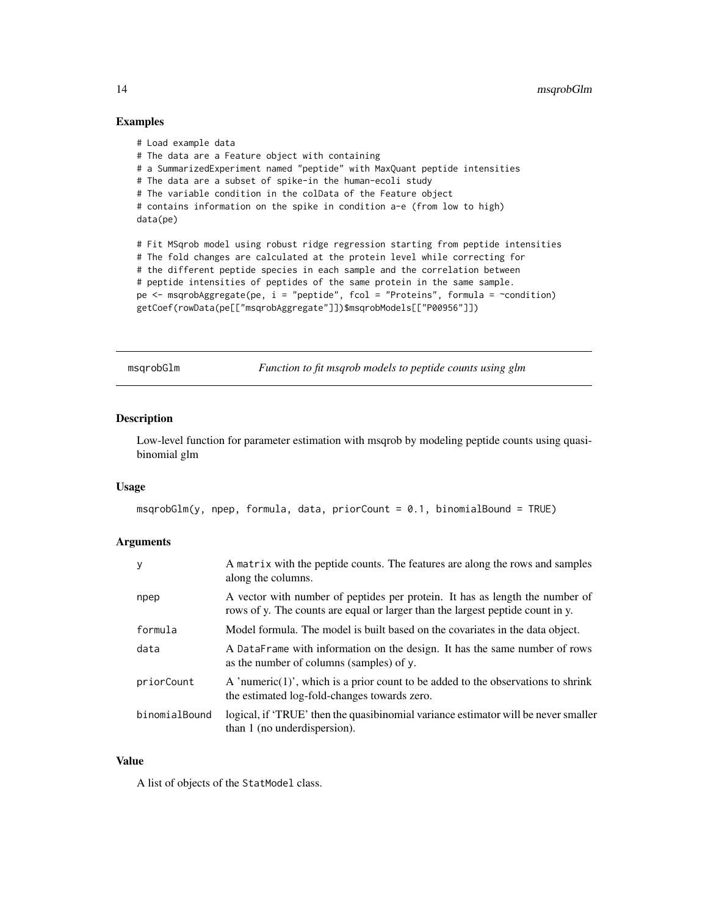#### Examples

```
# Load example data
# The data are a Feature object with containing
# a SummarizedExperiment named "peptide" with MaxQuant peptide intensities
# The data are a subset of spike-in the human-ecoli study
# The variable condition in the colData of the Feature object
# contains information on the spike in condition a-e (from low to high)
data(pe)
# Fit MSqrob model using robust ridge regression starting from peptide intensities
# The fold changes are calculated at the protein level while correcting for
# the different peptide species in each sample and the correlation between
# peptide intensities of peptides of the same protein in the same sample.
pe <- msqrobAggregate(pe, i = "peptide", fcol = "Proteins", formula = ~condition)
getCoef(rowData(pe[["msqrobAggregate"]])$msqrobModels[["P00956"]])
```
msqrobGlm *Function to fit msqrob models to peptide counts using glm*

#### Description

Low-level function for parameter estimation with msqrob by modeling peptide counts using quasibinomial glm

#### Usage

```
mgprobGlm(y, npep, formula, data, priorCount = 0.1, binomialBound = TRUE)
```
#### Arguments

| y             | A matrix with the peptide counts. The features are along the rows and samples<br>along the columns.                                                            |
|---------------|----------------------------------------------------------------------------------------------------------------------------------------------------------------|
| npep          | A vector with number of peptides per protein. It has as length the number of<br>rows of y. The counts are equal or larger than the largest peptide count in y. |
| formula       | Model formula. The model is built based on the covariates in the data object.                                                                                  |
| data          | A DataFrame with information on the design. It has the same number of rows<br>as the number of columns (samples) of y.                                         |
| priorCount    | A 'numeric $(1)$ ', which is a prior count to be added to the observations to shrink<br>the estimated log-fold-changes towards zero.                           |
| binomialBound | logical, if 'TRUE' then the quasibinomial variance estimator will be never smaller<br>than 1 (no underdispersion).                                             |

#### Value

A list of objects of the StatModel class.

<span id="page-13-0"></span>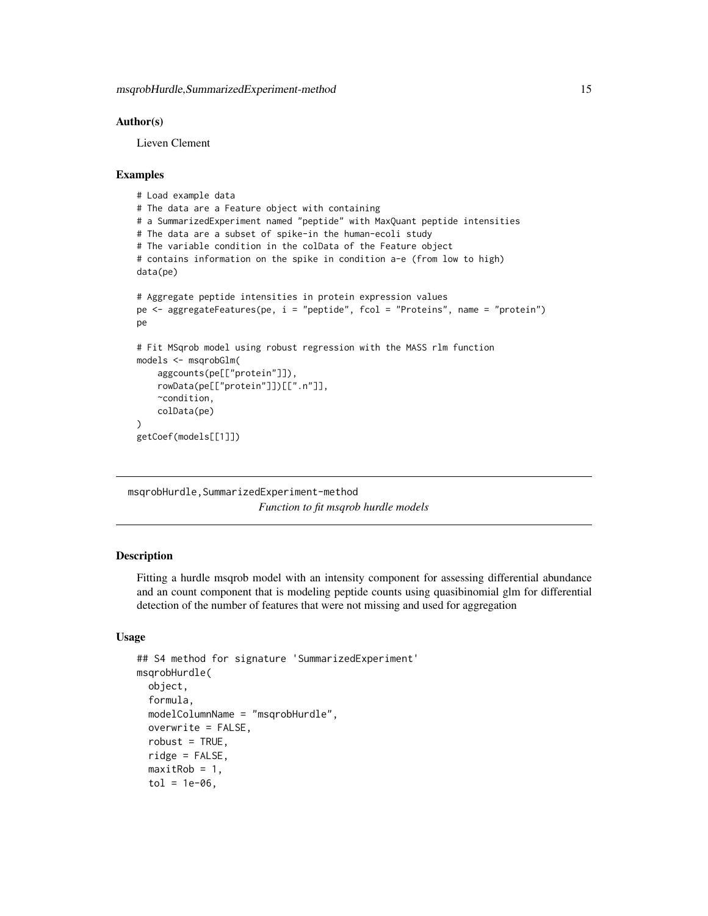#### <span id="page-14-0"></span>Author(s)

Lieven Clement

#### Examples

```
# Load example data
# The data are a Feature object with containing
# a SummarizedExperiment named "peptide" with MaxQuant peptide intensities
# The data are a subset of spike-in the human-ecoli study
# The variable condition in the colData of the Feature object
# contains information on the spike in condition a-e (from low to high)
data(pe)
# Aggregate peptide intensities in protein expression values
pe <- aggregateFeatures(pe, i = "peptide", fcol = "Proteins", name = "protein")
pe
# Fit MSqrob model using robust regression with the MASS rlm function
models <- msqrobGlm(
    aggcounts(pe[["protein"]]),
   rowData(pe[["protein"]])[[".n"]],
   ~condition,
    colData(pe)
)
getCoef(models[[1]])
```
msqrobHurdle,SummarizedExperiment-method *Function to fit msqrob hurdle models*

#### **Description**

Fitting a hurdle msqrob model with an intensity component for assessing differential abundance and an count component that is modeling peptide counts using quasibinomial glm for differential detection of the number of features that were not missing and used for aggregation

#### Usage

```
## S4 method for signature 'SummarizedExperiment'
msqrobHurdle(
  object,
  formula,
 modelColumnName = "msqrobHurdle",
  overwrite = FALSE,
  robust = TRUE,
  ridge = FALSE,
  maxitRob = 1,tol = 1e-06,
```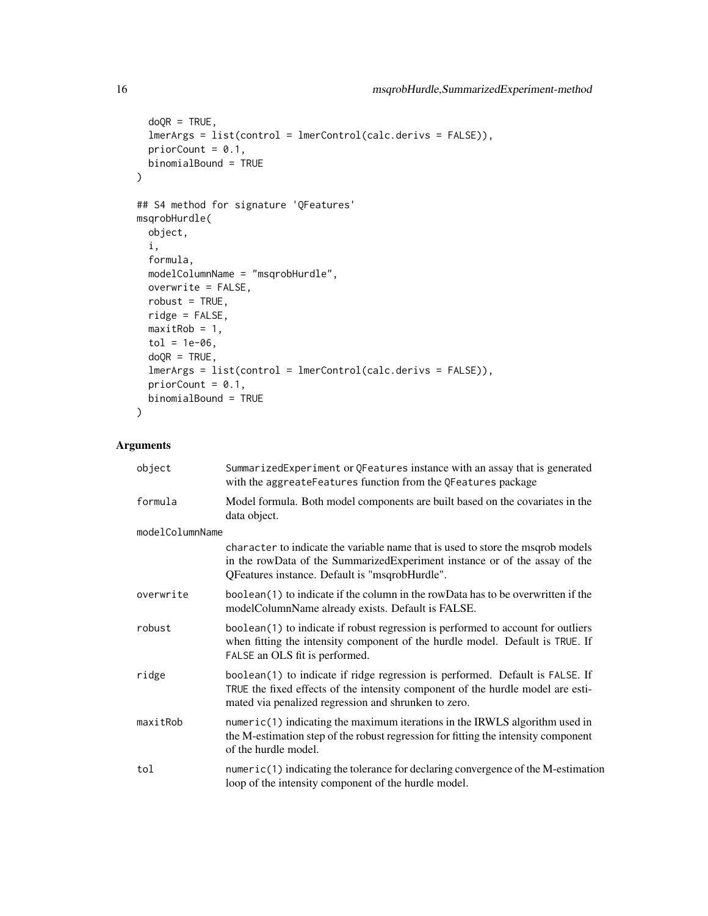```
doQR = TRUE,lmerArgs = list(control = lmerControl(calc.derivs = FALSE)),
 priorCount = 0.1,
 binomialBound = TRUE
)
## S4 method for signature 'QFeatures'
msqrobHurdle(
 object,
  i,
  formula,
 modelColumnName = "msqrobHurdle",
 overwrite = FALSE,
 robust = TRUE,
 ridge = FALSE,
 maxitRob = 1,tol = 1e-06,doQR = TRUE,lmerArgs = list(control = lmerControl(calc.derivs = FALSE)),priorCount = 0.1,
 binomialBound = TRUE
\mathcal{L}
```
#### Arguments

| object          | SummarizedExperiment or QFeatures instance with an assay that is generated<br>with the aggreateFeatures function from the QFeatures package                                                                              |
|-----------------|--------------------------------------------------------------------------------------------------------------------------------------------------------------------------------------------------------------------------|
| formula         | Model formula. Both model components are built based on the covariates in the<br>data object.                                                                                                                            |
| modelColumnName |                                                                                                                                                                                                                          |
|                 | character to indicate the variable name that is used to store the msqrob models<br>in the rowData of the SummarizedExperiment instance or of the assay of the<br>QFeatures instance. Default is "msqrobHurdle".          |
| overwrite       | boolean(1) to indicate if the column in the rowData has to be overwritten if the<br>modelColumnName already exists. Default is FALSE.                                                                                    |
| robust          | boolean(1) to indicate if robust regression is performed to account for outliers<br>when fitting the intensity component of the hurdle model. Default is TRUE. If<br>FALSE an OLS fit is performed.                      |
| ridge           | boolean(1) to indicate if ridge regression is performed. Default is FALSE. If<br>TRUE the fixed effects of the intensity component of the hurdle model are esti-<br>mated via penalized regression and shrunken to zero. |
| maxitRob        | $numeric(1)$ indicating the maximum iterations in the IRWLS algorithm used in<br>the M-estimation step of the robust regression for fitting the intensity component<br>of the hurdle model.                              |
| tol             | numeric(1) indicating the tolerance for declaring convergence of the M-estimation<br>loop of the intensity component of the hurdle model.                                                                                |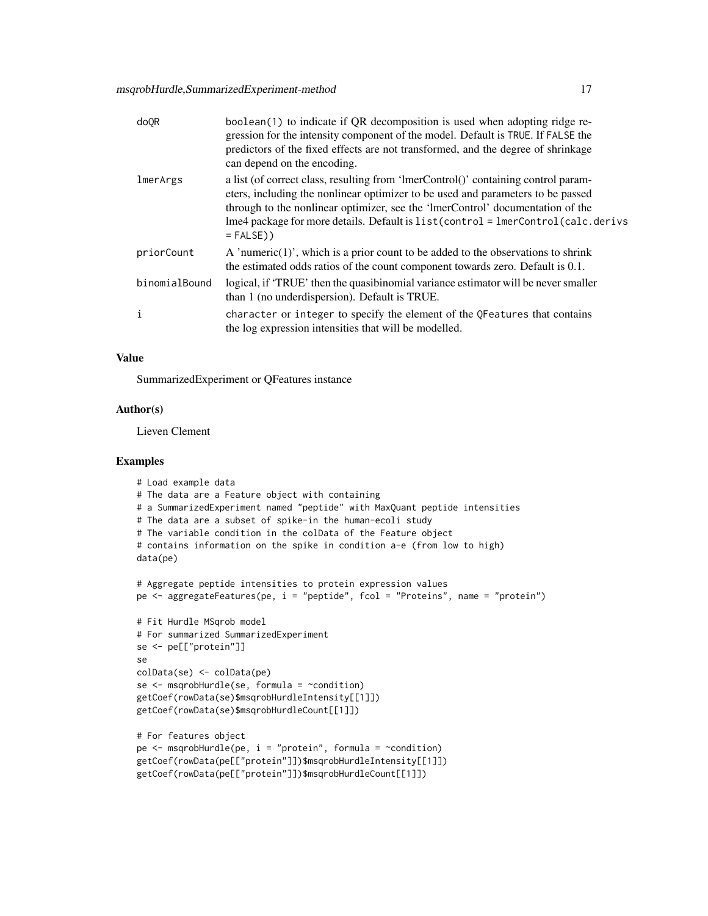| do <sub>OR</sub> | boolean(1) to indicate if QR decomposition is used when adopting ridge re-<br>gression for the intensity component of the model. Default is TRUE. If FALSE the<br>predictors of the fixed effects are not transformed, and the degree of shrinkage<br>can depend on the encoding.                                                                              |
|------------------|----------------------------------------------------------------------------------------------------------------------------------------------------------------------------------------------------------------------------------------------------------------------------------------------------------------------------------------------------------------|
| lmerArgs         | a list (of correct class, resulting from 'ImerControl()' containing control param-<br>eters, including the nonlinear optimizer to be used and parameters to be passed<br>through to the nonlinear optimizer, see the 'ImerControl' documentation of the<br>lme4 package for more details. Default is list(control = lmerControl(calc.derivs<br>$=$ FALSE $)$ ) |
| priorCount       | A 'numeric $(1)$ ', which is a prior count to be added to the observations to shrink<br>the estimated odds ratios of the count component towards zero. Default is 0.1.                                                                                                                                                                                         |
| binomialBound    | logical, if 'TRUE' then the quasibinomial variance estimator will be never smaller<br>than 1 (no under dispersion). Default is TRUE.                                                                                                                                                                                                                           |
| i                | character or integer to specify the element of the QFeatures that contains<br>the log expression intensities that will be modelled.                                                                                                                                                                                                                            |

#### Value

SummarizedExperiment or QFeatures instance

#### Author(s)

Lieven Clement

```
# Load example data
# The data are a Feature object with containing
# a SummarizedExperiment named "peptide" with MaxQuant peptide intensities
# The data are a subset of spike-in the human-ecoli study
# The variable condition in the colData of the Feature object
# contains information on the spike in condition a-e (from low to high)
data(pe)
# Aggregate peptide intensities to protein expression values
pe <- aggregateFeatures(pe, i = "peptide", fcol = "Proteins", name = "protein")
# Fit Hurdle MSqrob model
# For summarized SummarizedExperiment
se <- pe[["protein"]]
se
colData(se) <- colData(pe)
se <- msqrobHurdle(se, formula = ~condition)
getCoef(rowData(se)$msqrobHurdleIntensity[[1]])
getCoef(rowData(se)$msqrobHurdleCount[[1]])
# For features object
pe \leq msqrobHurdle(pe, i = "protein", formula = \simcondition)
getCoef(rowData(pe[["protein"]])$msqrobHurdleIntensity[[1]])
getCoef(rowData(pe[["protein"]])$msqrobHurdleCount[[1]])
```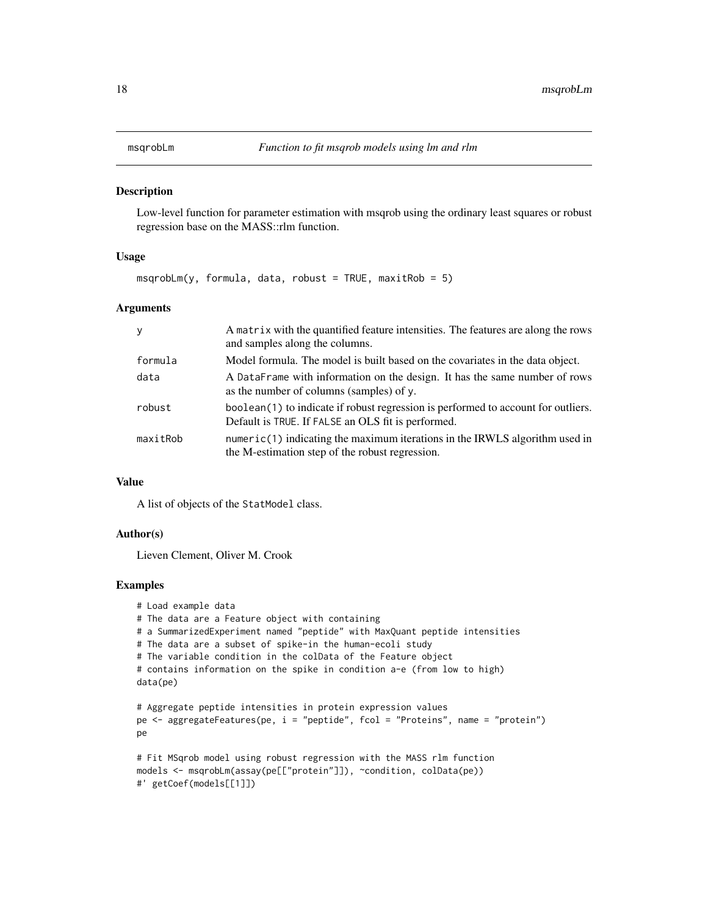<span id="page-17-0"></span>

#### **Description**

Low-level function for parameter estimation with msqrob using the ordinary least squares or robust regression base on the MASS::rlm function.

#### Usage

 $m$ sqrobLm(y, formula, data, robust = TRUE, maxitRob = 5)

#### Arguments

| <b>V</b> | A matrix with the quantified feature intensities. The features are along the rows<br>and samples along the columns.                     |
|----------|-----------------------------------------------------------------------------------------------------------------------------------------|
| formula  | Model formula. The model is built based on the covariates in the data object.                                                           |
| data     | A DataFrame with information on the design. It has the same number of rows<br>as the number of columns (samples) of y.                  |
| robust   | boolean(1) to indicate if robust regression is performed to account for outliers.<br>Default is TRUE. If FALSE an OLS fit is performed. |
| maxitRob | $numeric(1)$ indicating the maximum iterations in the IRWLS algorithm used in<br>the M-estimation step of the robust regression.        |

#### Value

A list of objects of the StatModel class.

#### Author(s)

Lieven Clement, Oliver M. Crook

```
# Load example data
# The data are a Feature object with containing
# a SummarizedExperiment named "peptide" with MaxQuant peptide intensities
# The data are a subset of spike-in the human-ecoli study
# The variable condition in the colData of the Feature object
# contains information on the spike in condition a-e (from low to high)
data(pe)
# Aggregate peptide intensities in protein expression values
pe <- aggregateFeatures(pe, i = "peptide", fcol = "Proteins", name = "protein")
pe
# Fit MSqrob model using robust regression with the MASS rlm function
models <- msqrobLm(assay(pe[["protein"]]), ~condition, colData(pe))
```

```
#' getCoef(models[[1]])
```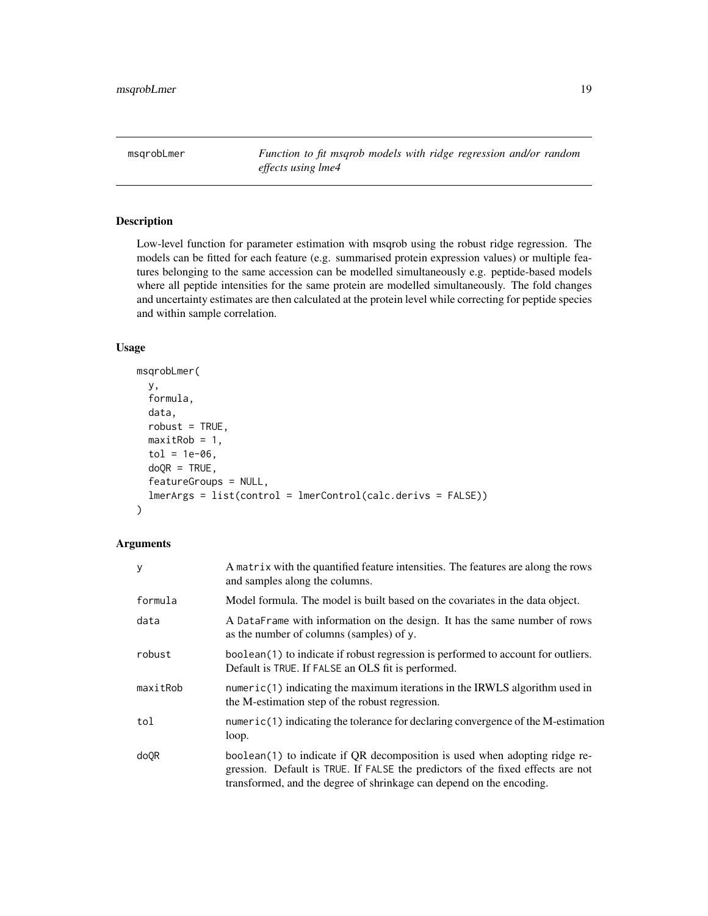<span id="page-18-0"></span>msqrobLmer *Function to fit msqrob models with ridge regression and/or random effects using lme4*

#### Description

Low-level function for parameter estimation with msqrob using the robust ridge regression. The models can be fitted for each feature (e.g. summarised protein expression values) or multiple features belonging to the same accession can be modelled simultaneously e.g. peptide-based models where all peptide intensities for the same protein are modelled simultaneously. The fold changes and uncertainty estimates are then calculated at the protein level while correcting for peptide species and within sample correlation.

#### Usage

```
msqrobLmer(
 y,
  formula,
 data,
  robust = TRUE,maxitRob = 1,tol = 1e-06,
  doQR = TRUE,featureGroups = NULL,
  lmerArgs = list(control = lmerControl(calc.derivs = FALSE))
)
```
#### Arguments

| У        | A matrix with the quantified feature intensities. The features are along the rows<br>and samples along the columns.                                                                                                                   |
|----------|---------------------------------------------------------------------------------------------------------------------------------------------------------------------------------------------------------------------------------------|
| formula  | Model formula. The model is built based on the covariates in the data object.                                                                                                                                                         |
| data     | A DataFrame with information on the design. It has the same number of rows<br>as the number of columns (samples) of y.                                                                                                                |
| robust   | boolean(1) to indicate if robust regression is performed to account for outliers.<br>Default is TRUE. If FALSE an OLS fit is performed.                                                                                               |
| maxitRob | $numeric(1)$ indicating the maximum iterations in the IRWLS algorithm used in<br>the M-estimation step of the robust regression.                                                                                                      |
| tol      | $numeric(1)$ indicating the tolerance for declaring convergence of the M-estimation<br>loop.                                                                                                                                          |
| do0R     | boolean(1) to indicate if QR decomposition is used when adopting ridge re-<br>gression. Default is TRUE. If FALSE the predictors of the fixed effects are not<br>transformed, and the degree of shrinkage can depend on the encoding. |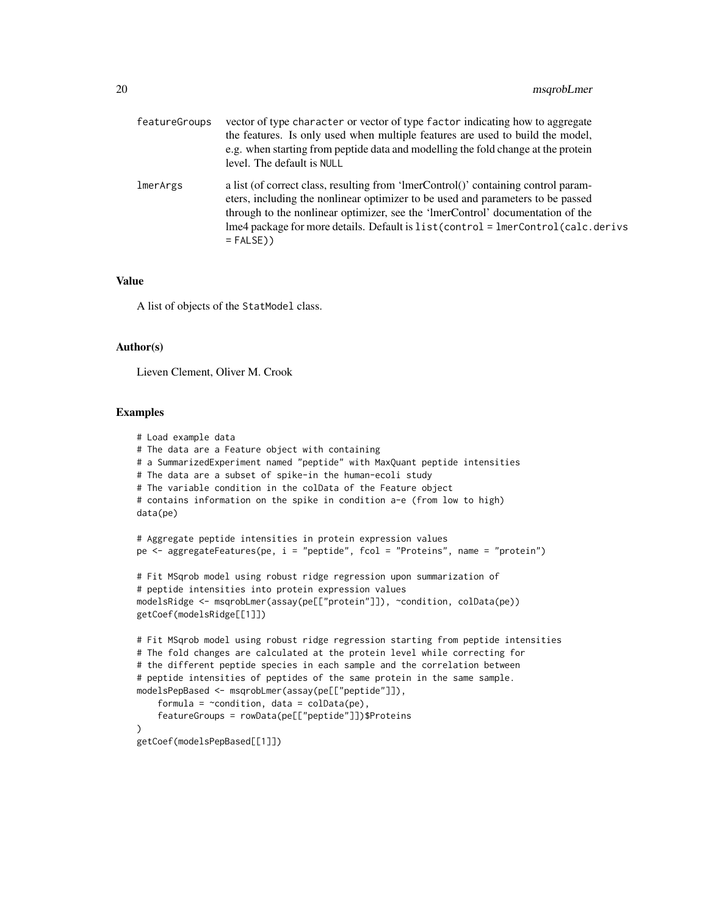| featureGroups | vector of type character or vector of type factor indicating how to aggregate<br>the features. Is only used when multiple features are used to build the model,<br>e.g. when starting from peptide data and modelling the fold change at the protein<br>level. The default is NULL                                                                             |
|---------------|----------------------------------------------------------------------------------------------------------------------------------------------------------------------------------------------------------------------------------------------------------------------------------------------------------------------------------------------------------------|
| lmerArgs      | a list (of correct class, resulting from 'ImerControl()' containing control param-<br>eters, including the nonlinear optimizer to be used and parameters to be passed<br>through to the nonlinear optimizer, see the 'ImerControl' documentation of the<br>lme4 package for more details. Default is list(control = lmerControl(calc.derivs<br>$=$ FALSE $)$ ) |

#### Value

A list of objects of the StatModel class.

#### Author(s)

Lieven Clement, Oliver M. Crook

```
# Load example data
# The data are a Feature object with containing
# a SummarizedExperiment named "peptide" with MaxQuant peptide intensities
# The data are a subset of spike-in the human-ecoli study
# The variable condition in the colData of the Feature object
# contains information on the spike in condition a-e (from low to high)
data(pe)
# Aggregate peptide intensities in protein expression values
pe <- aggregateFeatures(pe, i = "peptide", fcol = "Proteins", name = "protein")
# Fit MSqrob model using robust ridge regression upon summarization of
# peptide intensities into protein expression values
modelsRidge <- msqrobLmer(assay(pe[["protein"]]), ~condition, colData(pe))
getCoef(modelsRidge[[1]])
# Fit MSqrob model using robust ridge regression starting from peptide intensities
# The fold changes are calculated at the protein level while correcting for
# the different peptide species in each sample and the correlation between
# peptide intensities of peptides of the same protein in the same sample.
modelsPepBased <- msqrobLmer(assay(pe[["peptide"]]),
    formula = \simcondition, data = colData(pe),
    featureGroups = rowData(pe[["peptide"]])$Proteins
)
getCoef(modelsPepBased[[1]])
```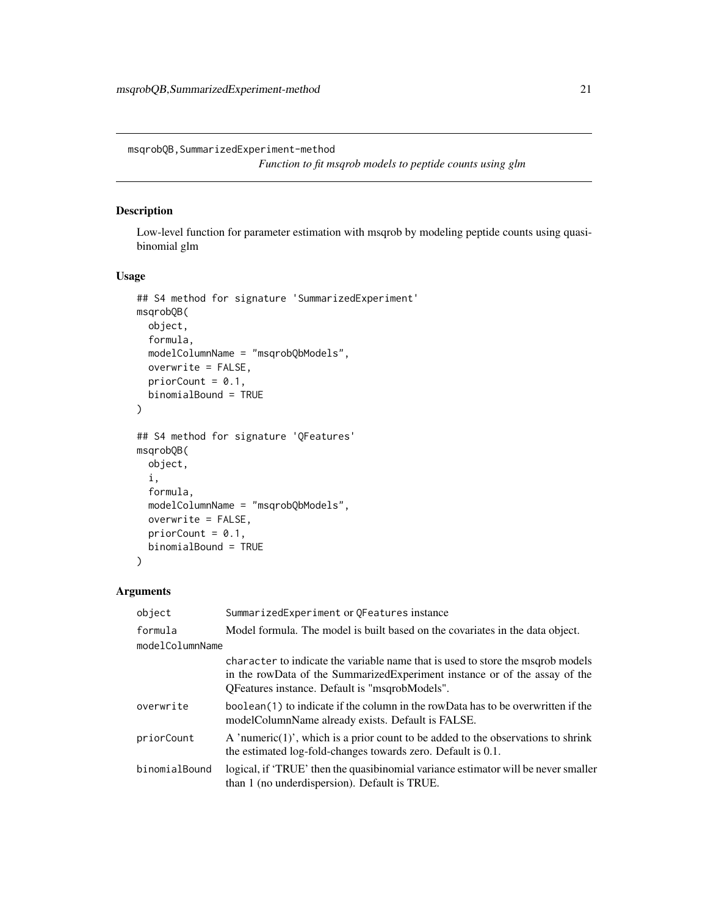<span id="page-20-0"></span>msqrobQB,SummarizedExperiment-method

*Function to fit msqrob models to peptide counts using glm*

#### Description

Low-level function for parameter estimation with msqrob by modeling peptide counts using quasibinomial glm

#### Usage

```
## S4 method for signature 'SummarizedExperiment'
msqrobQB(
 object,
 formula,
 modelColumnName = "msqrobQbModels",
 overwrite = FALSE,
 priorCount = 0.1,
 binomialBound = TRUE
\mathcal{L}## S4 method for signature 'QFeatures'
msqrobQB(
 object,
  i,
  formula,
 modelColumnName = "msqrobQbModels",
 overwrite = FALSE,
 priorCount = 0.1,
 binomialBound = TRUE
\lambda
```
#### Arguments

| object          | SummarizedExperiment or QFeatures instance                                                                                                                                                                      |
|-----------------|-----------------------------------------------------------------------------------------------------------------------------------------------------------------------------------------------------------------|
| formula         | Model formula. The model is built based on the covariates in the data object.                                                                                                                                   |
| modelColumnName |                                                                                                                                                                                                                 |
|                 | character to indicate the variable name that is used to store the msgrob models<br>in the rowData of the SummarizedExperiment instance or of the assay of the<br>QFeatures instance. Default is "msqrobModels". |
| overwrite       | boolean(1) to indicate if the column in the rowData has to be overwritten if the<br>modelColumnName already exists. Default is FALSE.                                                                           |
| priorCount      | A 'numeric $(1)$ ', which is a prior count to be added to the observations to shrink<br>the estimated log-fold-changes towards zero. Default is 0.1.                                                            |
| binomialBound   | logical, if 'TRUE' then the quasibinomial variance estimator will be never smaller<br>than 1 (no under dispersion). Default is TRUE.                                                                            |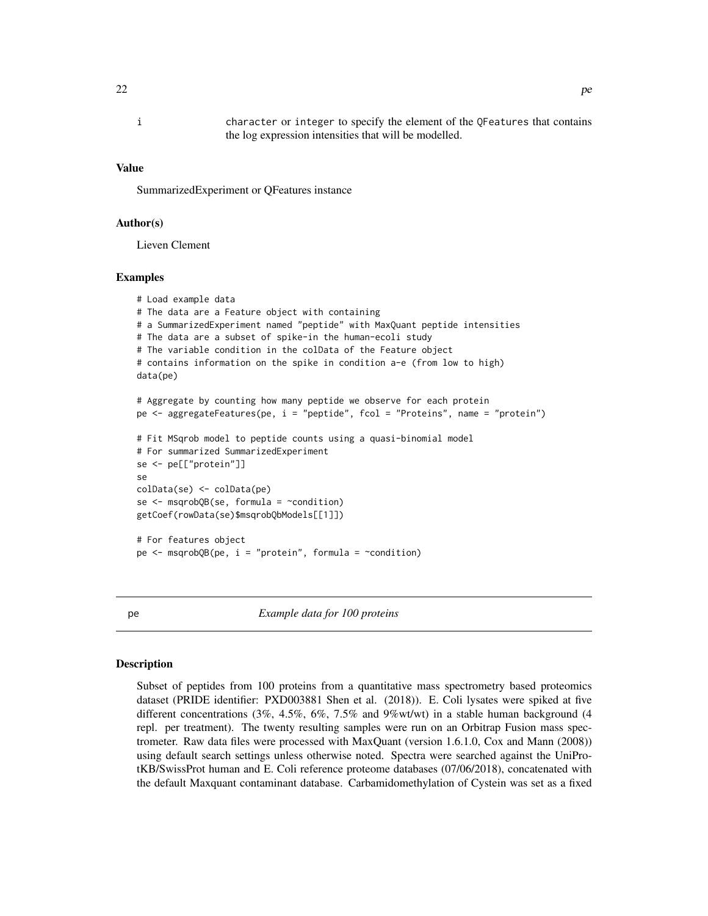<span id="page-21-0"></span>i character or integer to specify the element of the QFeatures that contains the log expression intensities that will be modelled.

#### Value

SummarizedExperiment or QFeatures instance

#### Author(s)

Lieven Clement

#### Examples

```
# Load example data
# The data are a Feature object with containing
# a SummarizedExperiment named "peptide" with MaxQuant peptide intensities
# The data are a subset of spike-in the human-ecoli study
# The variable condition in the colData of the Feature object
# contains information on the spike in condition a-e (from low to high)
data(pe)
# Aggregate by counting how many peptide we observe for each protein
pe <- aggregateFeatures(pe, i = "peptide", fcol = "Proteins", name = "protein")
# Fit MSqrob model to peptide counts using a quasi-binomial model
# For summarized SummarizedExperiment
se <- pe[["protein"]]
se
colData(se) <- colData(pe)
se <- msqrobQB(se, formula = ~condition)
getCoef(rowData(se)$msqrobQbModels[[1]])
# For features object
pe \le - \text{msqrobQB}(pe, i = "protein", formula = \text{~condition})
```
pe *Example data for 100 proteins*

#### **Description**

Subset of peptides from 100 proteins from a quantitative mass spectrometry based proteomics dataset (PRIDE identifier: PXD003881 Shen et al. (2018)). E. Coli lysates were spiked at five different concentrations (3%, 4.5%, 6%, 7.5% and 9%wt/wt) in a stable human background (4 repl. per treatment). The twenty resulting samples were run on an Orbitrap Fusion mass spectrometer. Raw data files were processed with MaxQuant (version 1.6.1.0, Cox and Mann (2008)) using default search settings unless otherwise noted. Spectra were searched against the UniProtKB/SwissProt human and E. Coli reference proteome databases (07/06/2018), concatenated with the default Maxquant contaminant database. Carbamidomethylation of Cystein was set as a fixed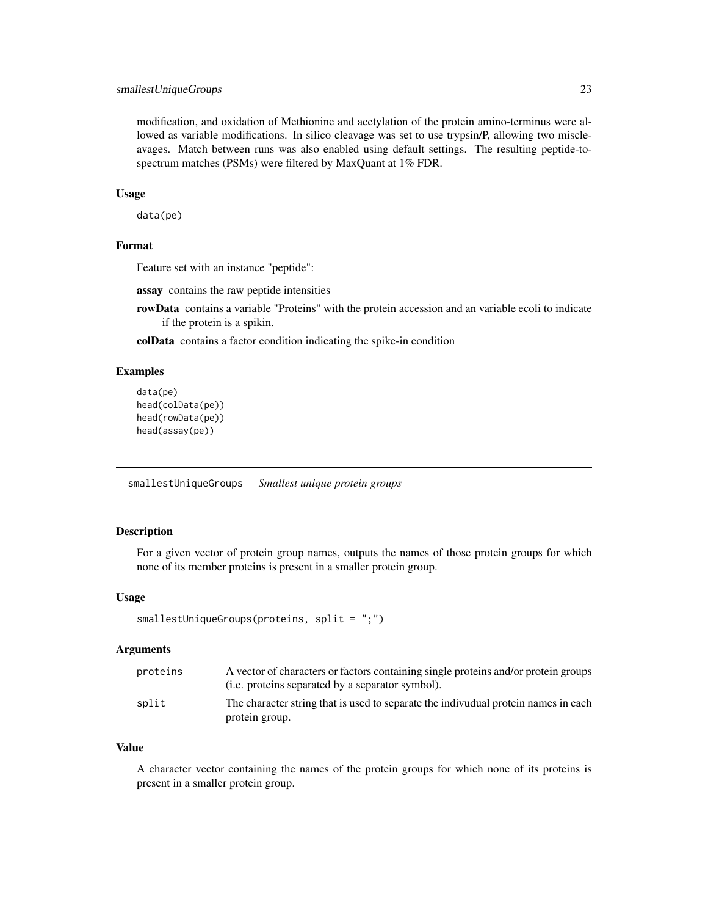#### <span id="page-22-0"></span>smallestUniqueGroups 23

modification, and oxidation of Methionine and acetylation of the protein amino-terminus were allowed as variable modifications. In silico cleavage was set to use trypsin/P, allowing two miscleavages. Match between runs was also enabled using default settings. The resulting peptide-tospectrum matches (PSMs) were filtered by MaxQuant at 1% FDR.

#### Usage

data(pe)

#### Format

Feature set with an instance "peptide":

assay contains the raw peptide intensities

rowData contains a variable "Proteins" with the protein accession and an variable ecoli to indicate if the protein is a spikin.

colData contains a factor condition indicating the spike-in condition

#### Examples

```
data(pe)
head(colData(pe))
head(rowData(pe))
head(assay(pe))
```
smallestUniqueGroups *Smallest unique protein groups*

#### Description

For a given vector of protein group names, outputs the names of those protein groups for which none of its member proteins is present in a smaller protein group.

#### Usage

```
smallestUniqueGroups(proteins, split = ";")
```
#### Arguments

| proteins | A vector of characters or factors containing single proteins and/or protein groups<br>( <i>i.e.</i> proteins separated by a separator symbol). |
|----------|------------------------------------------------------------------------------------------------------------------------------------------------|
| split    | The character string that is used to separate the indivudual protein names in each<br>protein group.                                           |

#### Value

A character vector containing the names of the protein groups for which none of its proteins is present in a smaller protein group.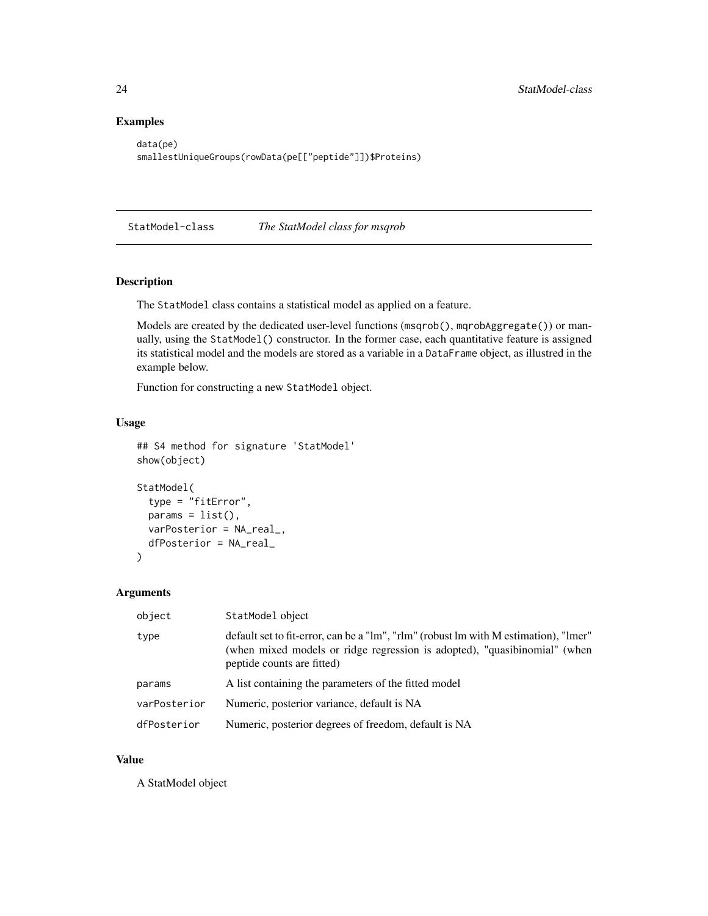#### Examples

```
data(pe)
smallestUniqueGroups(rowData(pe[["peptide"]])$Proteins)
```
StatModel-class *The StatModel class for msqrob*

#### Description

The StatModel class contains a statistical model as applied on a feature.

Models are created by the dedicated user-level functions (msqrob(), mqrobAggregate()) or manually, using the StatModel() constructor. In the former case, each quantitative feature is assigned its statistical model and the models are stored as a variable in a DataFrame object, as illustred in the example below.

Function for constructing a new StatModel object.

#### Usage

```
## S4 method for signature 'StatModel'
show(object)
StatModel(
  type = "fitError",
 params = list(),varPosterior = NA_real_,
  dfPosterior = NA_real_
)
```
#### Arguments

| object       | StatModel object                                                                                                                                                                                |
|--------------|-------------------------------------------------------------------------------------------------------------------------------------------------------------------------------------------------|
| type         | default set to fit-error, can be a "lm", "rlm" (robust lm with M estimation), "lmer"<br>(when mixed models or ridge regression is adopted), "quasibinomial" (when<br>peptide counts are fitted) |
| params       | A list containing the parameters of the fitted model                                                                                                                                            |
| varPosterior | Numeric, posterior variance, default is NA                                                                                                                                                      |
| dfPosterior  | Numeric, posterior degrees of freedom, default is NA                                                                                                                                            |

#### Value

A StatModel object

<span id="page-23-0"></span>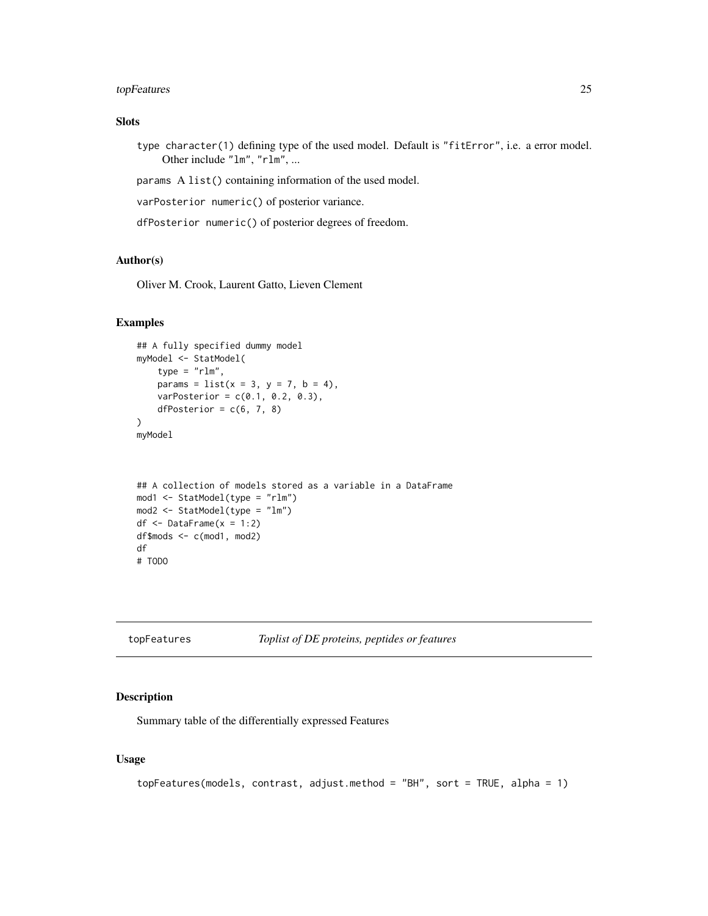#### <span id="page-24-0"></span>topFeatures 25

#### Slots

type character(1) defining type of the used model. Default is "fitError", i.e. a error model. Other include "lm", "rlm", ...

params A list() containing information of the used model.

varPosterior numeric() of posterior variance.

dfPosterior numeric() of posterior degrees of freedom.

#### Author(s)

Oliver M. Crook, Laurent Gatto, Lieven Clement

#### Examples

```
## A fully specified dummy model
myModel <- StatModel(
    type = "rlm",params = list(x = 3, y = 7, b = 4),
   varPosterior = c(0.1, 0.2, 0.3),
   dfPosterior = c(6, 7, 8))
myModel
```

```
## A collection of models stored as a variable in a DataFrame
mod1 <- StatModel(type = "rlm")
mod2 <- StatModel(type = "lm")
df \leq DataFrame(x = 1:2)
df$mods <- c(mod1, mod2)
df
# TODO
```
topFeatures *Toplist of DE proteins, peptides or features*

#### Description

Summary table of the differentially expressed Features

#### Usage

```
topFeatures(models, contrast, adjust.method = "BH", sort = TRUE, alpha = 1)
```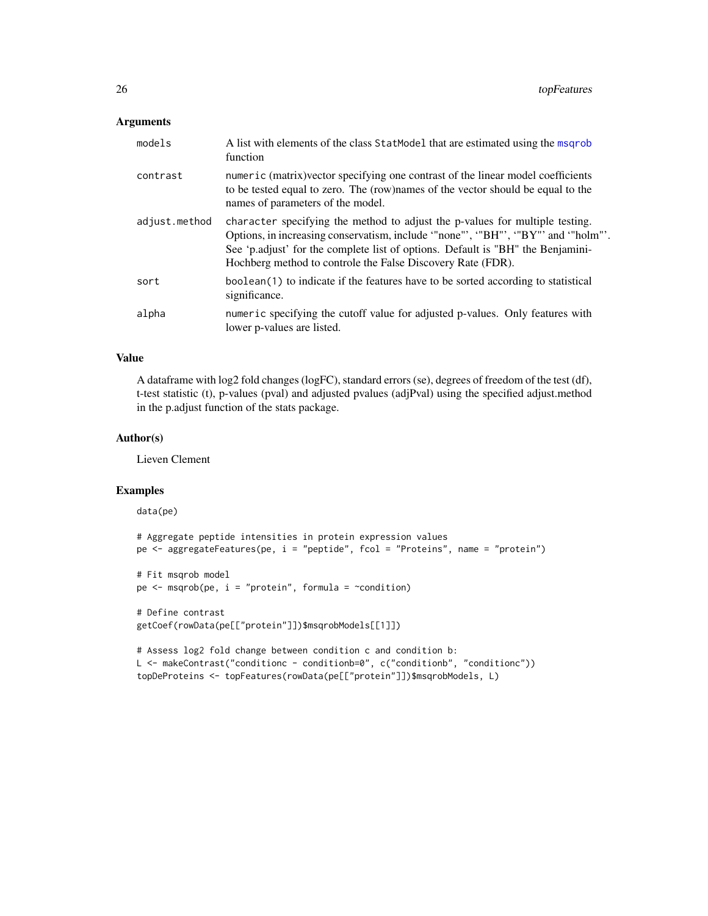#### <span id="page-25-0"></span>Arguments

| models        | A list with elements of the class StatModel that are estimated using the msqrob<br>function                                                                                                                                                                                                                       |
|---------------|-------------------------------------------------------------------------------------------------------------------------------------------------------------------------------------------------------------------------------------------------------------------------------------------------------------------|
| contrast      | numeric (matrix)vector specifying one contrast of the linear model coefficients<br>to be tested equal to zero. The (row)names of the vector should be equal to the<br>names of parameters of the model.                                                                                                           |
| adjust.method | character specifying the method to adjust the p-values for multiple testing.<br>Options, in increasing conservatism, include "none"', "BH"', "BY"' and "holm"'.<br>See 'p.adjust' for the complete list of options. Default is "BH" the Benjamini-<br>Hochberg method to controle the False Discovery Rate (FDR). |
| sort          | boolean(1) to indicate if the features have to be sorted according to statistical<br>significance.                                                                                                                                                                                                                |
| alpha         | numeric specifying the cutoff value for adjusted p-values. Only features with<br>lower p-values are listed.                                                                                                                                                                                                       |

#### Value

A dataframe with log2 fold changes (logFC), standard errors (se), degrees of freedom of the test (df), t-test statistic (t), p-values (pval) and adjusted pvalues (adjPval) using the specified adjust.method in the p.adjust function of the stats package.

#### Author(s)

Lieven Clement

#### Examples

```
data(pe)
# Aggregate peptide intensities in protein expression values
pe <- aggregateFeatures(pe, i = "peptide", fcol = "Proteins", name = "protein")
# Fit msqrob model
pe \leq msqrob(pe, i = "protein", formula = \simcondition)
# Define contrast
getCoef(rowData(pe[["protein"]])$msqrobModels[[1]])
# Assess log2 fold change between condition c and condition b:
L <- makeContrast("conditionc - conditionb=0", c("conditionb", "conditionc"))
```
topDeProteins <- topFeatures(rowData(pe[["protein"]])\$msqrobModels, L)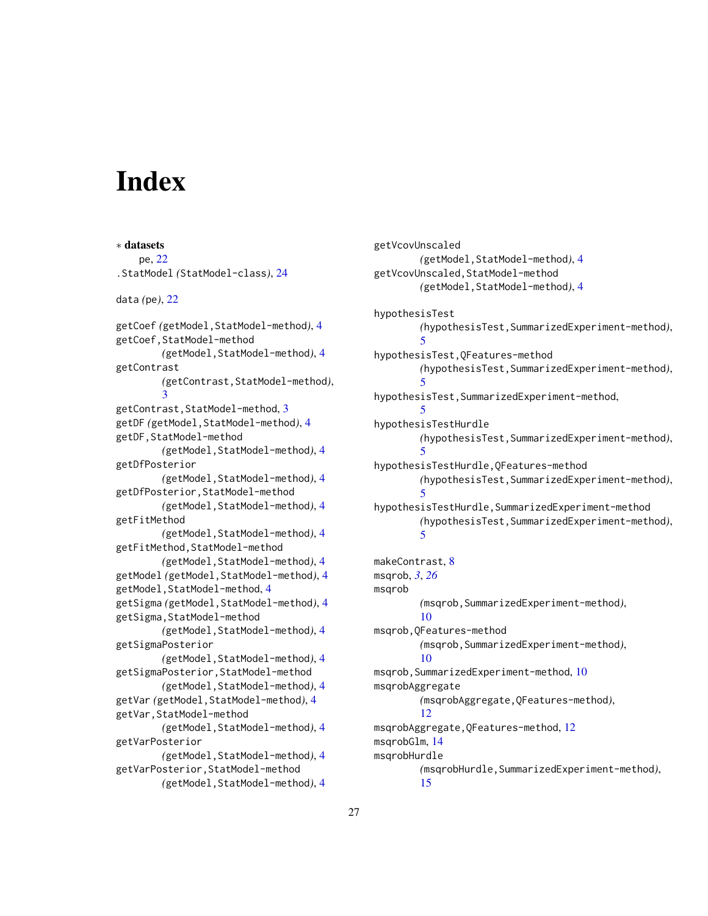# <span id="page-26-0"></span>Index

∗ datasets pe, [22](#page-21-0) .StatModel *(*StatModel-class*)*, [24](#page-23-0) data *(*pe*)*, [22](#page-21-0) getCoef *(*getModel,StatModel-method*)*, [4](#page-3-0) getCoef,StatModel-method *(*getModel,StatModel-method*)*, [4](#page-3-0) getContrast *(*getContrast,StatModel-method*)*, [3](#page-2-0) getContrast,StatModel-method, [3](#page-2-0) getDF *(*getModel,StatModel-method*)*, [4](#page-3-0) getDF,StatModel-method *(*getModel,StatModel-method*)*, [4](#page-3-0) getDfPosterior *(*getModel,StatModel-method*)*, [4](#page-3-0) getDfPosterior,StatModel-method *(*getModel,StatModel-method*)*, [4](#page-3-0) getFitMethod *(*getModel,StatModel-method*)*, [4](#page-3-0) getFitMethod,StatModel-method *(*getModel,StatModel-method*)*, [4](#page-3-0) getModel *(*getModel,StatModel-method*)*, [4](#page-3-0) getModel,StatModel-method, [4](#page-3-0) getSigma *(*getModel,StatModel-method*)*, [4](#page-3-0) getSigma,StatModel-method *(*getModel,StatModel-method*)*, [4](#page-3-0) getSigmaPosterior *(*getModel,StatModel-method*)*, [4](#page-3-0) getSigmaPosterior,StatModel-method *(*getModel,StatModel-method*)*, [4](#page-3-0) getVar *(*getModel,StatModel-method*)*, [4](#page-3-0) getVar,StatModel-method *(*getModel,StatModel-method*)*, [4](#page-3-0) getVarPosterior *(*getModel,StatModel-method*)*, [4](#page-3-0) getVarPosterior,StatModel-method *(*getModel,StatModel-method*)*, [4](#page-3-0)

getVcovUnscaled *(*getModel,StatModel-method*)*, [4](#page-3-0) getVcovUnscaled,StatModel-method *(*getModel,StatModel-method*)*, [4](#page-3-0) hypothesisTest *(*hypothesisTest,SummarizedExperiment-method*)*, [5](#page-4-0) hypothesisTest,QFeatures-method *(*hypothesisTest,SummarizedExperiment-method*)*, [5](#page-4-0) hypothesisTest,SummarizedExperiment-method, [5](#page-4-0) hypothesisTestHurdle *(*hypothesisTest,SummarizedExperiment-method*)*, [5](#page-4-0) hypothesisTestHurdle,QFeatures-method *(*hypothesisTest,SummarizedExperiment-method*)*, [5](#page-4-0) hypothesisTestHurdle,SummarizedExperiment-method *(*hypothesisTest,SummarizedExperiment-method*)*, [5](#page-4-0) makeContrast, [8](#page-7-0) msqrob, *[3](#page-2-0)*, *[26](#page-25-0)* msqrob *(*msqrob,SummarizedExperiment-method*)*, [10](#page-9-0) msqrob,QFeatures-method *(*msqrob,SummarizedExperiment-method*)*, [10](#page-9-0) msqrob,SummarizedExperiment-method, [10](#page-9-0) msqrobAggregate *(*msqrobAggregate,QFeatures-method*)*, [12](#page-11-0) msqrobAggregate,QFeatures-method, [12](#page-11-0) msqrobGlm, [14](#page-13-0) msqrobHurdle *(*msqrobHurdle,SummarizedExperiment-method*)*, [15](#page-14-0)